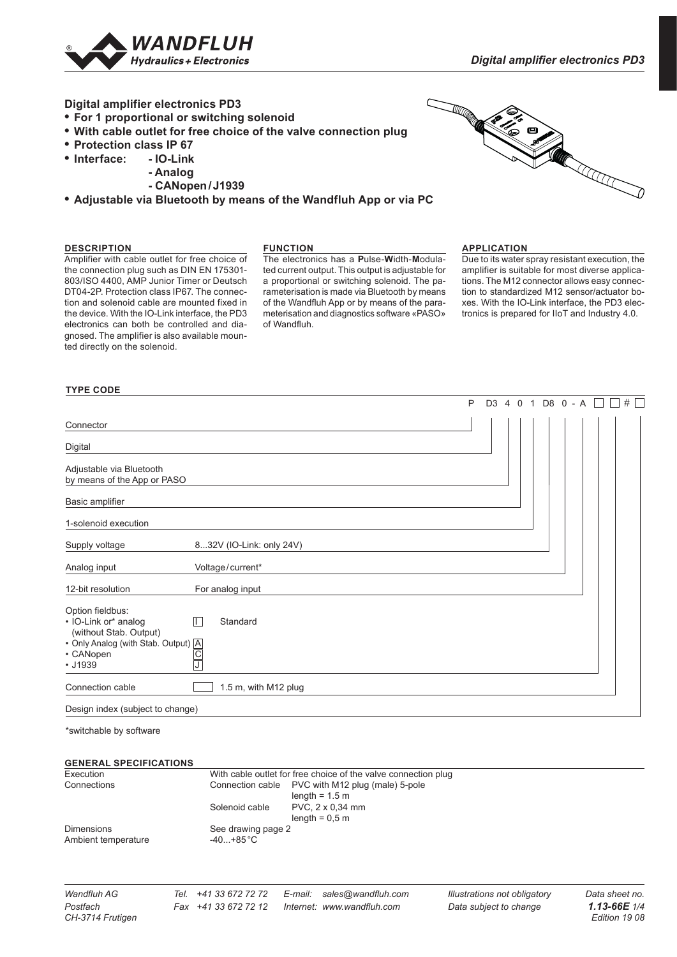

## **Digital amplifier electronics PD3**

- **• For 1 proportional or switching solenoid**
- **• With cable outlet for free choice of the valve connection plug**
- **• Protection class IP 67**
- $\bullet$  **Interface:** 
	- **Analog**
		- **CANopen/J1939**
- **• Adjustable via Bluetooth by means of the Wandfluh App or via PC**



#### **DESCRIPTION**

#### **FUNCTION**

Amplifier with cable outlet for free choice of the connection plug such as DIN EN 175301- 803/ISO 4400, AMP Junior Timer or Deutsch DT04-2P. Protection class IP67. The connection and solenoid cable are mounted fixed in the device. With the IO-Link interface, the PD3 electronics can both be controlled and diagnosed. The amplifier is also available mounted directly on the solenoid.

The electronics has a **P**ulse-**W**idth-**M**odulated current output. This output is adjustable for a proportional or switching solenoid. The parameterisation is made via Bluetooth by means of the Wandfluh App or by means of the parameterisation and diagnostics software «PASO» of Wandfluh.

#### **APPLICATION**

Due to its water spray resistant execution, the amplifier is suitable for most diverse applications. The M12 connector allows easy connection to standardized M12 sensor/actuator boxes. With the IO-Link interface, the PD3 elece «PASO» tronics is prepared for IIoT and Industry 4.0.

#### **TYPE CODE**

|                                                                    |                          | P |  |  | D3 4 0 1 D8 0 - A |  | $\Box$ | $\#$ |
|--------------------------------------------------------------------|--------------------------|---|--|--|-------------------|--|--------|------|
| Connector                                                          |                          |   |  |  |                   |  |        |      |
| Digital                                                            |                          |   |  |  |                   |  |        |      |
| Adjustable via Bluetooth<br>by means of the App or PASO            |                          |   |  |  |                   |  |        |      |
| Basic amplifier                                                    |                          |   |  |  |                   |  |        |      |
| 1-solenoid execution                                               |                          |   |  |  |                   |  |        |      |
| Supply voltage                                                     | 832V (IO-Link: only 24V) |   |  |  |                   |  |        |      |
| Analog input                                                       | Voltage/current*         |   |  |  |                   |  |        |      |
| 12-bit resolution                                                  | For analog input         |   |  |  |                   |  |        |      |
| Option fieldbus:<br>• IO-Link or* analog<br>(without Stab. Output) | П<br>Standard            |   |  |  |                   |  |        |      |
| Connection cable                                                   | 1.5 m, with M12 plug     |   |  |  |                   |  |        |      |
| Design index (subject to change)                                   |                          |   |  |  |                   |  |        |      |

\*switchable by software

#### **GENERAL SPECIFICATIONS**

| Execution                                |                                         | With cable outlet for free choice of the valve connection plug               |  |  |  |  |
|------------------------------------------|-----------------------------------------|------------------------------------------------------------------------------|--|--|--|--|
| Connections                              |                                         | Connection cable PVC with M12 plug (male) 5-pole<br>length = $1.5 \text{ m}$ |  |  |  |  |
|                                          | Solenoid cable                          | PVC, 2 x 0,34 mm<br>length $= 0.5$ m                                         |  |  |  |  |
| <b>Dimensions</b><br>Ambient temperature | See drawing page 2<br>$-40+85\degree C$ |                                                                              |  |  |  |  |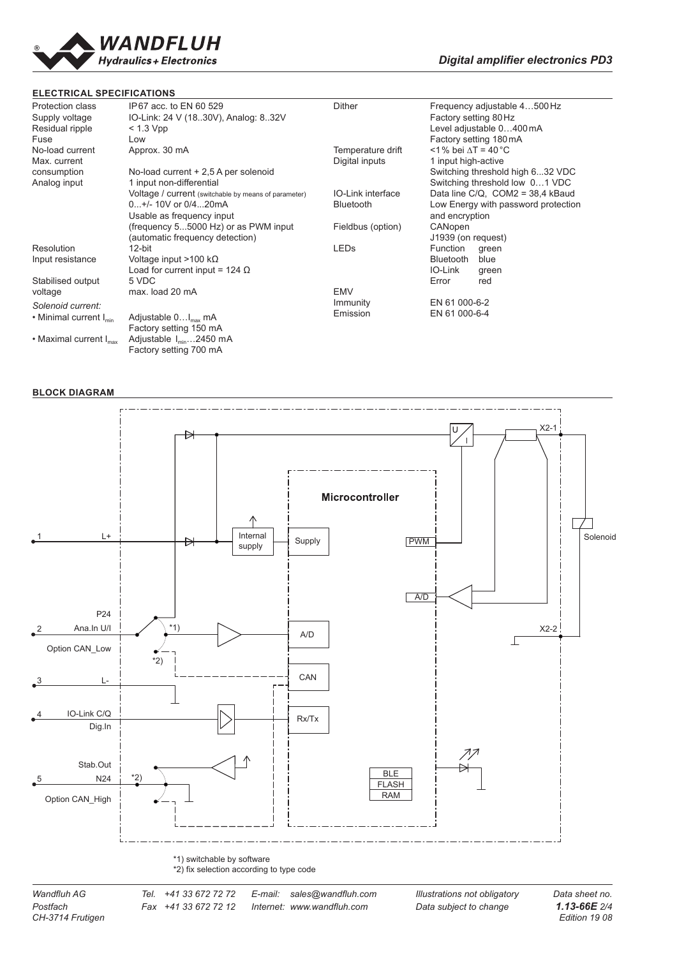

## **ELECTRICAL SPECIFICATIONS**

| Protection class<br>Supply voltage<br>Residual ripple | IP67 acc. to EN 60 529<br>IO-Link: 24 V (18.30V), Analog: 8.32V<br>$<$ 1.3 Vpp |                          | Frequency adjustable 4500 Hz<br>Factory setting 80 Hz<br>Level adjustable 0400 mA |  |  |  |  |  |  |
|-------------------------------------------------------|--------------------------------------------------------------------------------|--------------------------|-----------------------------------------------------------------------------------|--|--|--|--|--|--|
| Fuse                                                  | Low                                                                            |                          | Factory setting 180mA                                                             |  |  |  |  |  |  |
| No-load current                                       | Approx. 30 mA                                                                  | Temperature drift        | $\leq$ 1 % bei $\Delta T = 40^{\circ}$ C                                          |  |  |  |  |  |  |
| Max. current                                          |                                                                                | Digital inputs           | 1 input high-active                                                               |  |  |  |  |  |  |
| consumption                                           | No-load current + 2,5 A per solenoid                                           |                          | Switching threshold high 632 VDC                                                  |  |  |  |  |  |  |
| Analog input                                          | 1 input non-differential                                                       |                          | Switching threshold low 01 VDC                                                    |  |  |  |  |  |  |
|                                                       | Voltage / current (switchable by means of parameter)                           | <b>IO-Link interface</b> | Data line $C/Q$ , $COM2 = 38.4$ kBaud<br>Low Energy with password protection      |  |  |  |  |  |  |
|                                                       | 0+/- 10V or 0/420mA                                                            | <b>Bluetooth</b>         |                                                                                   |  |  |  |  |  |  |
|                                                       | Usable as frequency input                                                      |                          | and encryption                                                                    |  |  |  |  |  |  |
|                                                       | (frequency 55000 Hz) or as PWM input                                           | Fieldbus (option)        | CANopen                                                                           |  |  |  |  |  |  |
|                                                       | (automatic frequency detection)                                                |                          | J1939 (on request)                                                                |  |  |  |  |  |  |
| Resolution                                            | $12$ -bit                                                                      | <b>LEDs</b>              | Function<br>green                                                                 |  |  |  |  |  |  |
| Input resistance                                      | Voltage input $>100$ k $\Omega$                                                |                          | <b>Bluetooth</b><br>blue                                                          |  |  |  |  |  |  |
|                                                       | Load for current input = 124 $\Omega$                                          |                          | IO-Link<br>green                                                                  |  |  |  |  |  |  |
| Stabilised output                                     | 5 VDC                                                                          |                          | Error<br>red                                                                      |  |  |  |  |  |  |
| voltage                                               | max. load 20 mA                                                                | <b>EMV</b>               |                                                                                   |  |  |  |  |  |  |
| Solenoid current:                                     |                                                                                | Immunity                 | EN 61 000-6-2                                                                     |  |  |  |  |  |  |
| • Minimal current $I_{\min}$                          | Adjustable 0I <sub>max</sub> mA                                                | Emission                 | EN 61 000-6-4                                                                     |  |  |  |  |  |  |
|                                                       | Factory setting 150 mA                                                         |                          |                                                                                   |  |  |  |  |  |  |
| $\cdot$ Maximal current $I_{\text{max}}$              | Adjustable $I_{min}$ 2450 mA                                                   |                          |                                                                                   |  |  |  |  |  |  |
|                                                       | Factory setting 700 mA                                                         |                          |                                                                                   |  |  |  |  |  |  |

## **BLOCK DIAGRAM**

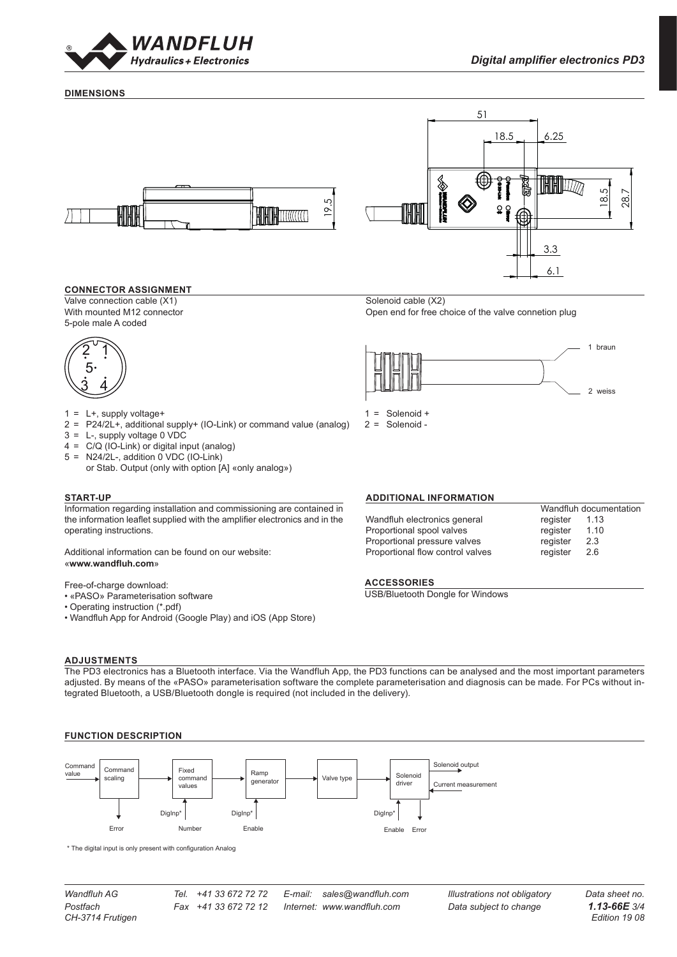

1 braun

2 weiss

#### **DIMENSIONS**



#### **CONNECTOR ASSIGNMENT**

Valve connection cable (X1) Solenoid cable (X2) With mounted M12 connector **Open end for free choice of the valve connetion plug** Open end for free choice of the valve connetion plug 5-pole male A coded



- $1 = L+$ , supply voltage+
- 2 = P24/2L+, additional supply+ (IO-Link) or command value (analog) 2 = S<sub></sub><br>3 = L-. supply voltage 0 VDC  $1 = \text{Solenoid} +$

18.5 6.25

- 3 = L-, supply voltage 0 VDC
- 4 = C/Q (IO-Link) or digital input (analog)
- $5 = N24/2L$ -, addition 0 VDC (IO-Link)
- or Stab. Output (only with option [A] «only analog») 1 2 C:\00\_Wandfluh\Verkauf\Dokumentation\Reg1.13\DB 1.13-66\0247390 Blatt 1 von 1

#### **START-UP**

Information regarding installation and commissioning are contained in the information leaflet supplied with the amplifier electronics and in the operating instructions.

Additional information can be found on our website: www.wandfluh.com» and the *series of the series*  $\alpha$ 

Free-of-charge download:

- $\cdot$  «PASO» Parameterisation software
	- $\bullet$  Operating instruction (\*.pdf)
	- $\bullet$  Wandfluh App for Android (Google Play) and iOS (App Store)

#### **ADJUSTMENTS**

The PD3 electronics has a Bluetooth interface. Via the Wandfluh App, the PD3 functions can be analysed and the most important parameters adjusted. By means of the «PASO» parameterisation software the complete parameterisation and diagnosis can be made. For PCs without integrated Bluetooth, a USB/Bluetooth dongle is required (not included in the delivery).

### **FUNCTION DESCRIPTION**



\* The digital input is only present with configuration Analog

*Wandfluh AG Tel. +41 33 672 72 72 E-mail: sales@wandfluh.com Illustrations not obligatory Data sheet no.*



Wandfluh documentation<br>register 1.13 Wandfluh electronics general register 1.13<br>Proportional spool valves register 1.10 Proportional spool valves entitled and register at 1.10 Proportional pressure valves metal or register 2.3 Proportional flow control valves The register 2.6 Modellreferenz: Doknr. 0247162 / Konfiguration 002

Rev. Änderungsnr. **Serie freigegeben**

## **ACCESSORIES** 0.017 kg

2 = Solenoid -

Datum Name Änderungsbeschrieb

**N3D2D000KIL0**<br>USB/Bluetooth Dongle for Windows